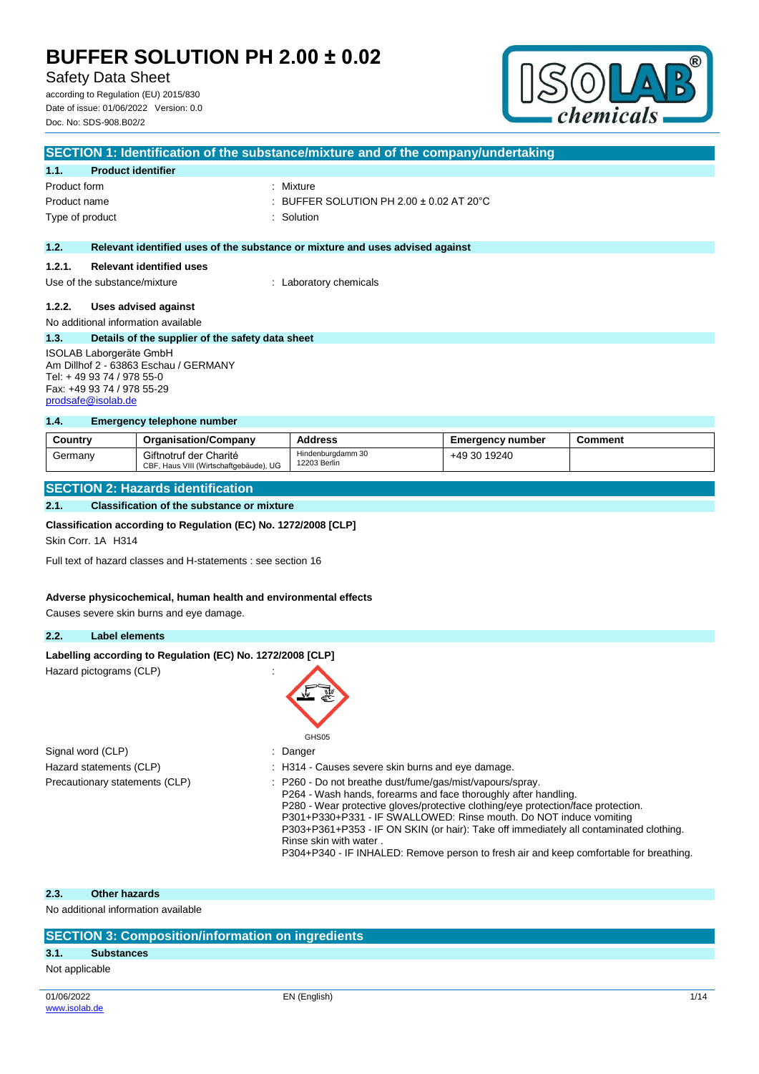## Safety Data Sheet

according to Regulation (EU) 2015/830 Date of issue: 01/06/2022 Version: 0.0 Doc. No: SDS-908.B02/2



|                                                                  | SECTION 1: Identification of the substance/mixture and of the company/undertaking |                                                                               |  |  |
|------------------------------------------------------------------|-----------------------------------------------------------------------------------|-------------------------------------------------------------------------------|--|--|
| 1.1.                                                             | <b>Product identifier</b>                                                         |                                                                               |  |  |
| Product form                                                     |                                                                                   | : Mixture                                                                     |  |  |
| Product name                                                     |                                                                                   | : BUFFER SOLUTION PH 2.00 $\pm$ 0.02 AT 20 $^{\circ}$ C                       |  |  |
|                                                                  | Type of product                                                                   | : Solution                                                                    |  |  |
|                                                                  |                                                                                   |                                                                               |  |  |
| 1.2.                                                             |                                                                                   | Relevant identified uses of the substance or mixture and uses advised against |  |  |
| 1.2.1.                                                           | <b>Relevant identified uses</b>                                                   |                                                                               |  |  |
|                                                                  | Use of the substance/mixture                                                      | : Laboratory chemicals                                                        |  |  |
| 1.2.2.                                                           | Uses advised against                                                              |                                                                               |  |  |
|                                                                  | No additional information available                                               |                                                                               |  |  |
| 1.3.                                                             | Details of the supplier of the safety data sheet                                  |                                                                               |  |  |
| ISOLAB Laborgeräte GmbH<br>Am Dillhof 2 - 63863 Eschau / GERMANY |                                                                                   |                                                                               |  |  |
| Tel: +49 93 74 / 978 55-0                                        |                                                                                   |                                                                               |  |  |
|                                                                  | Fax: +49 93 74 / 978 55-29                                                        |                                                                               |  |  |

### **1.4. Emergency telephone number**

| Country | <b>Organisation/Company</b>                                      | <b>Address</b>                    | Emeraencv number | Comment |
|---------|------------------------------------------------------------------|-----------------------------------|------------------|---------|
| Germany | Giftnotruf der Charité<br>CBF, Haus VIII (Wirtschaftgebäude), UG | Hindenburgdamm 30<br>12203 Berlin | +49 30 19240     |         |

### **SECTION 2: Hazards identification**

## **2.1. Classification of the substance or mixture**

#### **Classification according to Regulation (EC) No. 1272/2008 [CLP]**

Skin Corr. 1A H314

[prodsafe@isolab.de](mailto:prodsafe@isolab.de)

Full text of hazard classes and H-statements : see section 16

#### **Adverse physicochemical, human health and environmental effects**

Causes severe skin burns and eye damage.

### **2.2. Label elements**

| Labelling according to Regulation (EC) No. 1272/2008 [CLP] |                                                                                                                                                                                                                                                                                                                                                                                   |  |  |  |
|------------------------------------------------------------|-----------------------------------------------------------------------------------------------------------------------------------------------------------------------------------------------------------------------------------------------------------------------------------------------------------------------------------------------------------------------------------|--|--|--|
| Hazard pictograms (CLP)                                    | GHS05                                                                                                                                                                                                                                                                                                                                                                             |  |  |  |
| Signal word (CLP)                                          | : Danger                                                                                                                                                                                                                                                                                                                                                                          |  |  |  |
| Hazard statements (CLP)                                    | : H314 - Causes severe skin burns and eye damage.                                                                                                                                                                                                                                                                                                                                 |  |  |  |
| Precautionary statements (CLP)                             | : P260 - Do not breathe dust/fume/gas/mist/vapours/spray.<br>P264 - Wash hands, forearms and face thoroughly after handling.<br>P280 - Wear protective gloves/protective clothing/eye protection/face protection.<br>P301+P330+P331 - IF SWALLOWED: Rinse mouth. Do NOT induce vomiting<br>P303+P361+P353 - IF ON SKIN (or hair): Take off immediately all contaminated clothing. |  |  |  |

Rinse skin with water .

P304+P340 - IF INHALED: Remove person to fresh air and keep comfortable for breathing.

#### **2.3. Other hazards**

No additional information available

## **SECTION 3: Composition/information on ingredients**

#### **3.1. Substances**

Not applicable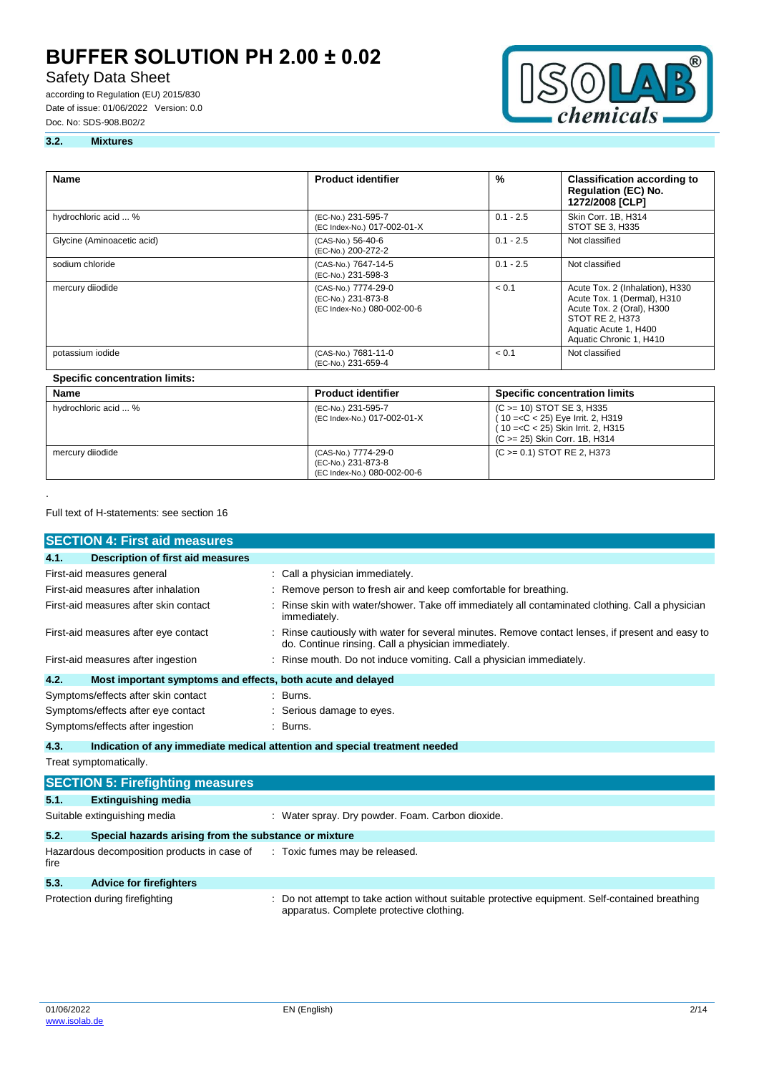# Safety Data Sheet

according to Regulation (EU) 2015/830 Date of issue: 01/06/2022 Version: 0.0 Doc. No: SDS-908.B02/2



### **3.2. Mixtures**

| <b>Name</b>                           | <b>Product identifier</b>                                                | $\frac{9}{6}$ | <b>Classification according to</b><br><b>Regulation (EC) No.</b><br>1272/2008 [CLP]                                                                                |
|---------------------------------------|--------------------------------------------------------------------------|---------------|--------------------------------------------------------------------------------------------------------------------------------------------------------------------|
| hydrochloric acid  %                  | (EC-No.) 231-595-7<br>(EC Index-No.) 017-002-01-X                        | $0.1 - 2.5$   | Skin Corr. 1B, H314<br>STOT SE 3, H335                                                                                                                             |
| Glycine (Aminoacetic acid)            | (CAS-No.) 56-40-6<br>(EC-No.) 200-272-2                                  | $0.1 - 2.5$   | Not classified                                                                                                                                                     |
| sodium chloride                       | (CAS-No.) 7647-14-5<br>(EC-No.) 231-598-3                                | $0.1 - 2.5$   | Not classified                                                                                                                                                     |
| mercury diiodide                      | (CAS-No.) 7774-29-0<br>(EC-No.) 231-873-8<br>(EC Index-No.) 080-002-00-6 | < 0.1         | Acute Tox. 2 (Inhalation), H330<br>Acute Tox. 1 (Dermal), H310<br>Acute Tox. 2 (Oral), H300<br>STOT RE 2, H373<br>Aquatic Acute 1, H400<br>Aquatic Chronic 1, H410 |
| potassium iodide                      | (CAS-No.) 7681-11-0<br>(EC-No.) 231-659-4                                | < 0.1         | Not classified                                                                                                                                                     |
| <b>Specific concentration limits:</b> |                                                                          |               |                                                                                                                                                                    |
| Name                                  | <b>Product identifier</b>                                                |               | <b>Specific concentration limits</b>                                                                                                                               |
| hydrochloric acid  %                  | (EC-No.) 231-595-7<br>(EC Index-No.) 017-002-01-X                        |               | (C > = 10) STOT SE 3, H335<br>(10 = < C < 25) Eye Irrit. 2, H319<br>(10 = < C < 25) Skin Irrit. 2, H315<br>(C >= 25) Skin Corr. 1B, H314                           |
| mercury diiodide                      | (CAS-No.) 7774-29-0<br>(EC-No.) 231-873-8<br>(EC Index-No.) 080-002-00-6 |               | (C > = 0.1) STOT RE 2, H373                                                                                                                                        |

#### Full text of H-statements: see section 16

.

| <b>SECTION 4: First aid measures</b>                                               |                                                                                                                                                       |  |
|------------------------------------------------------------------------------------|-------------------------------------------------------------------------------------------------------------------------------------------------------|--|
| 4.1.<br>Description of first aid measures                                          |                                                                                                                                                       |  |
| First-aid measures general                                                         | : Call a physician immediately.                                                                                                                       |  |
| First-aid measures after inhalation                                                | : Remove person to fresh air and keep comfortable for breathing.                                                                                      |  |
| First-aid measures after skin contact                                              | Rinse skin with water/shower. Take off immediately all contaminated clothing. Call a physician<br>immediately.                                        |  |
| First-aid measures after eye contact                                               | Rinse cautiously with water for several minutes. Remove contact lenses, if present and easy to<br>do. Continue rinsing. Call a physician immediately. |  |
| First-aid measures after ingestion                                                 | : Rinse mouth. Do not induce vomiting. Call a physician immediately.                                                                                  |  |
| 4.2.<br>Most important symptoms and effects, both acute and delayed                |                                                                                                                                                       |  |
| Symptoms/effects after skin contact                                                | : Burns.                                                                                                                                              |  |
| Symptoms/effects after eye contact                                                 | : Serious damage to eyes.                                                                                                                             |  |
| Symptoms/effects after ingestion                                                   | : Burns.                                                                                                                                              |  |
| 4.3.<br>Indication of any immediate medical attention and special treatment needed |                                                                                                                                                       |  |

Treat symptomatically.

|      | <b>SECTION 5: Firefighting measures</b>                                    |                                                                                                                                             |  |  |
|------|----------------------------------------------------------------------------|---------------------------------------------------------------------------------------------------------------------------------------------|--|--|
| 5.1. | <b>Extinguishing media</b>                                                 |                                                                                                                                             |  |  |
|      | Suitable extinguishing media                                               | : Water spray. Dry powder. Foam. Carbon dioxide.                                                                                            |  |  |
| 5.2. | Special hazards arising from the substance or mixture                      |                                                                                                                                             |  |  |
| fire | Hazardous decomposition products in case of : Toxic fumes may be released. |                                                                                                                                             |  |  |
| 5.3. | <b>Advice for firefighters</b>                                             |                                                                                                                                             |  |  |
|      | Protection during firefighting                                             | : Do not attempt to take action without suitable protective equipment. Self-contained breathing<br>apparatus. Complete protective clothing. |  |  |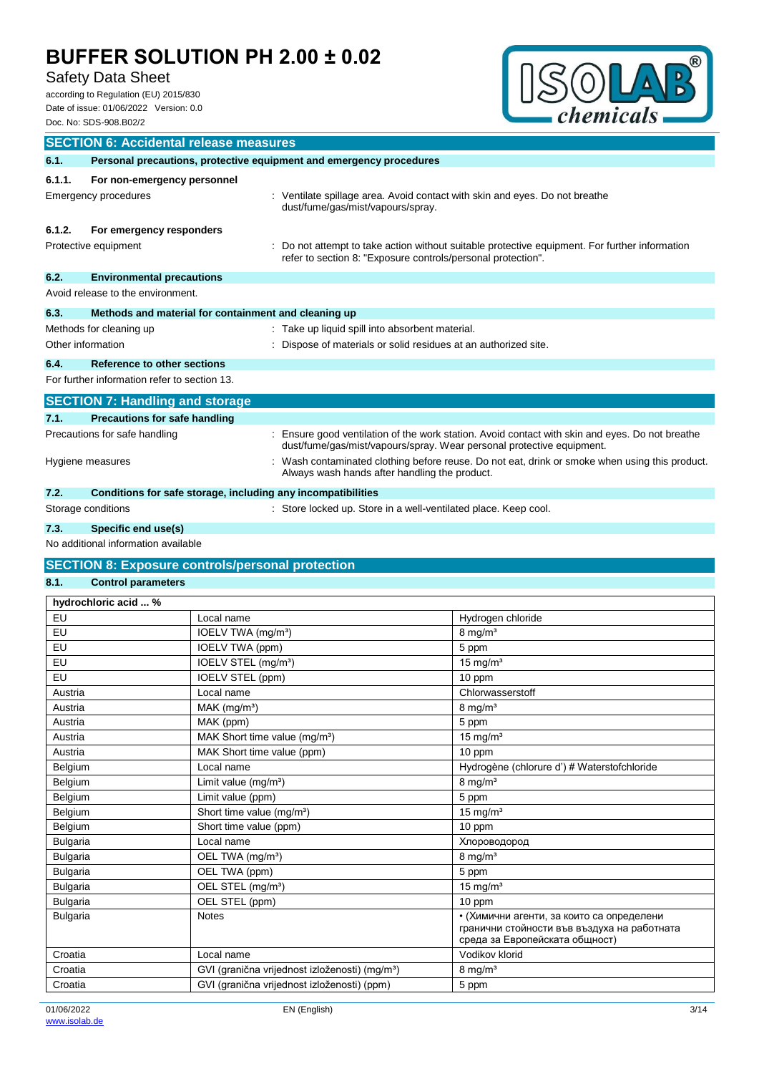# Safety Data Sheet

according to Regulation (EU) 2015/830 Date of issue: 01/06/2022 Version: 0.0 Doc. No: SDS-908.B02/2



|                                                                            | <b>SECTION 6: Accidental release measures</b>                       |                                                                                                                                                                        |  |  |
|----------------------------------------------------------------------------|---------------------------------------------------------------------|------------------------------------------------------------------------------------------------------------------------------------------------------------------------|--|--|
| 6.1.                                                                       | Personal precautions, protective equipment and emergency procedures |                                                                                                                                                                        |  |  |
| 6.1.1.                                                                     | For non-emergency personnel<br>Emergency procedures                 | Ventilate spillage area. Avoid contact with skin and eyes. Do not breathe                                                                                              |  |  |
|                                                                            |                                                                     | dust/fume/gas/mist/vapours/spray.                                                                                                                                      |  |  |
| 6.1.2.                                                                     | For emergency responders                                            |                                                                                                                                                                        |  |  |
|                                                                            | Protective equipment                                                | Do not attempt to take action without suitable protective equipment. For further information<br>refer to section 8: "Exposure controls/personal protection".           |  |  |
| 6.2.                                                                       | <b>Environmental precautions</b>                                    |                                                                                                                                                                        |  |  |
|                                                                            | Avoid release to the environment.                                   |                                                                                                                                                                        |  |  |
| 6.3.                                                                       | Methods and material for containment and cleaning up                |                                                                                                                                                                        |  |  |
| Methods for cleaning up<br>: Take up liquid spill into absorbent material. |                                                                     |                                                                                                                                                                        |  |  |
|                                                                            | Other information                                                   | Dispose of materials or solid residues at an authorized site.                                                                                                          |  |  |
| 6.4.                                                                       | Reference to other sections                                         |                                                                                                                                                                        |  |  |
|                                                                            | For further information refer to section 13.                        |                                                                                                                                                                        |  |  |
|                                                                            | <b>SECTION 7: Handling and storage</b>                              |                                                                                                                                                                        |  |  |
| 7.1.                                                                       | <b>Precautions for safe handling</b>                                |                                                                                                                                                                        |  |  |
| Precautions for safe handling                                              |                                                                     | Ensure good ventilation of the work station. Avoid contact with skin and eyes. Do not breathe<br>dust/fume/gas/mist/vapours/spray. Wear personal protective equipment. |  |  |
|                                                                            | Hygiene measures                                                    | Wash contaminated clothing before reuse. Do not eat, drink or smoke when using this product.<br>Always wash hands after handling the product.                          |  |  |
| 7.2.                                                                       | Conditions for safe storage, including any incompatibilities        |                                                                                                                                                                        |  |  |
|                                                                            | Storage conditions                                                  | : Store locked up. Store in a well-ventilated place. Keep cool.                                                                                                        |  |  |
| 7.3.                                                                       | Specific end use(s)                                                 |                                                                                                                                                                        |  |  |

No additional information available

## **SECTION 8: Exposure controls/personal protection**

## **8.1. Control parameters**

| hydrochloric acid  % |                                                            |                                                                                                                            |
|----------------------|------------------------------------------------------------|----------------------------------------------------------------------------------------------------------------------------|
| EU                   | Local name                                                 | Hydrogen chloride                                                                                                          |
| EU                   | IOELV TWA (mg/m <sup>3</sup> )                             | $8 \text{ mg/m}^3$                                                                                                         |
| EU                   | IOELV TWA (ppm)                                            | 5 ppm                                                                                                                      |
| EU                   | IOELV STEL (mg/m <sup>3</sup> )                            | $15 \text{ mg/m}^3$                                                                                                        |
| EU                   | IOELV STEL (ppm)                                           | 10 ppm                                                                                                                     |
| Austria              | Local name                                                 | Chlorwasserstoff                                                                                                           |
| Austria              | MAK (mg/m <sup>3</sup> )                                   | $8 \text{ mg/m}^3$                                                                                                         |
| Austria              | MAK (ppm)                                                  | 5 ppm                                                                                                                      |
| Austria              | MAK Short time value (mg/m <sup>3</sup> )                  | $15 \text{ mg/m}^3$                                                                                                        |
| Austria              | MAK Short time value (ppm)                                 | 10 ppm                                                                                                                     |
| Belgium              | Local name                                                 | Hydrogène (chlorure d') # Waterstofchloride                                                                                |
| Belgium              | Limit value (mg/m <sup>3</sup> )                           | $8 \text{ mg/m}^3$                                                                                                         |
| Belgium              | Limit value (ppm)                                          | 5 ppm                                                                                                                      |
| Belgium              | Short time value (mg/m <sup>3</sup> )                      | $15 \text{ mg/m}^3$                                                                                                        |
| Belgium              | Short time value (ppm)                                     | 10 ppm                                                                                                                     |
| <b>Bulgaria</b>      | Local name                                                 | Хлороводород                                                                                                               |
| <b>Bulgaria</b>      | OEL TWA (mg/m <sup>3</sup> )                               | $8 \text{ mg/m}^3$                                                                                                         |
| <b>Bulgaria</b>      | OEL TWA (ppm)                                              | 5 ppm                                                                                                                      |
| <b>Bulgaria</b>      | OEL STEL (mg/m <sup>3</sup> )                              | 15 mg/ $m3$                                                                                                                |
| <b>Bulgaria</b>      | OEL STEL (ppm)                                             | 10 ppm                                                                                                                     |
| <b>Bulgaria</b>      | <b>Notes</b>                                               | • (Химични агенти, за които са определени<br>гранични стойности във въздуха на работната<br>среда за Европейската общност) |
| Croatia              | Local name                                                 | Vodikov klorid                                                                                                             |
| Croatia              | GVI (granična vrijednost izloženosti) (mg/m <sup>3</sup> ) | $8 \text{ mg/m}^3$                                                                                                         |
| Croatia              | GVI (granična vrijednost izloženosti) (ppm)                | 5 ppm                                                                                                                      |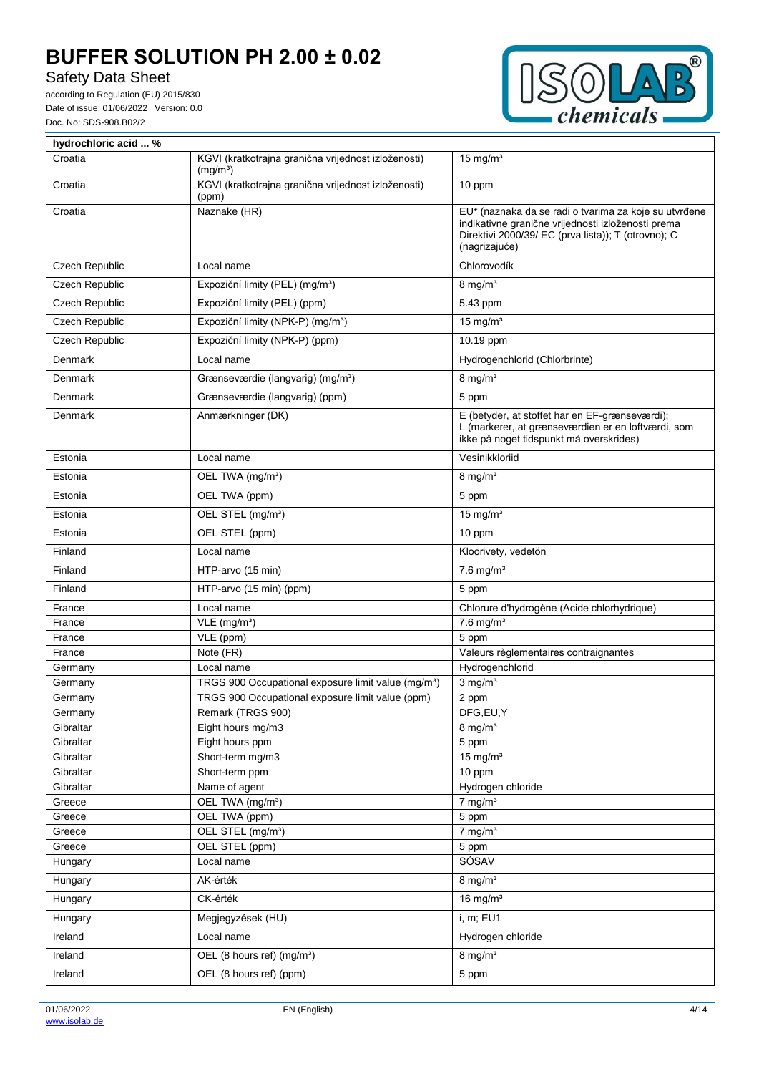Safety Data Sheet



| hydrochloric acid  %  |                                                                             |                                                                                                                                                                                     |  |  |
|-----------------------|-----------------------------------------------------------------------------|-------------------------------------------------------------------------------------------------------------------------------------------------------------------------------------|--|--|
| Croatia               | KGVI (kratkotrajna granična vrijednost izloženosti)<br>(mg/m <sup>3</sup> ) | $15 \text{ mg/m}^3$                                                                                                                                                                 |  |  |
| Croatia               | KGVI (kratkotrajna granična vrijednost izloženosti)<br>(ppm)                | 10 ppm                                                                                                                                                                              |  |  |
| Croatia               | Naznake (HR)                                                                | EU* (naznaka da se radi o tvarima za koje su utvrđene<br>indikativne granične vrijednosti izloženosti prema<br>Direktivi 2000/39/ EC (prva lista)); T (otrovno); C<br>(nagrizajuće) |  |  |
| Czech Republic        | Local name                                                                  | Chlorovodík                                                                                                                                                                         |  |  |
| <b>Czech Republic</b> | Expoziční limity (PEL) (mg/m <sup>3</sup> )                                 | $8 \text{ mg/m}^3$                                                                                                                                                                  |  |  |
| <b>Czech Republic</b> | Expoziční limity (PEL) (ppm)                                                | 5.43 ppm                                                                                                                                                                            |  |  |
| Czech Republic        | Expoziční limity (NPK-P) (mg/m <sup>3</sup> )                               | $15 \text{ mg/m}^3$                                                                                                                                                                 |  |  |
| Czech Republic        | Expoziční limity (NPK-P) (ppm)                                              | 10.19 ppm                                                                                                                                                                           |  |  |
| Denmark               | Local name                                                                  | Hydrogenchlorid (Chlorbrinte)                                                                                                                                                       |  |  |
| Denmark               | Grænseværdie (langvarig) (mg/m <sup>3</sup> )                               | $8$ mg/m <sup>3</sup>                                                                                                                                                               |  |  |
| Denmark               | Grænseværdie (langvarig) (ppm)                                              | 5 ppm                                                                                                                                                                               |  |  |
| Denmark               | Anmærkninger (DK)                                                           | E (betyder, at stoffet har en EF-grænseværdi);<br>L (markerer, at grænseværdien er en loftværdi, som<br>ikke på noget tidspunkt må overskrides)                                     |  |  |
| Estonia               | Local name                                                                  | Vesinikkloriid                                                                                                                                                                      |  |  |
| Estonia               | OEL TWA (mg/m <sup>3</sup> )                                                | $8 \text{ mg/m}^3$                                                                                                                                                                  |  |  |
| Estonia               | OEL TWA (ppm)                                                               | 5 ppm                                                                                                                                                                               |  |  |
| Estonia               | OEL STEL (mg/m <sup>3</sup> )                                               | 15 mg/ $m3$                                                                                                                                                                         |  |  |
| Estonia               | OEL STEL (ppm)                                                              | 10 ppm                                                                                                                                                                              |  |  |
| Finland               | Local name                                                                  | Kloorivety, vedetön                                                                                                                                                                 |  |  |
| Finland               | HTP-arvo (15 min)                                                           | $7.6$ mg/m <sup>3</sup>                                                                                                                                                             |  |  |
| Finland               | HTP-arvo (15 min) (ppm)                                                     | 5 ppm                                                                                                                                                                               |  |  |
| France                | Local name                                                                  | Chlorure d'hydrogène (Acide chlorhydrique)                                                                                                                                          |  |  |
| France                | $VLE$ (mg/m <sup>3</sup> )                                                  | $7.6$ mg/m <sup>3</sup>                                                                                                                                                             |  |  |
| France                | VLE (ppm)                                                                   | 5 ppm                                                                                                                                                                               |  |  |
| France                | Note (FR)                                                                   | Valeurs règlementaires contraignantes                                                                                                                                               |  |  |
| Germany               | Local name                                                                  | Hydrogenchlorid                                                                                                                                                                     |  |  |
| Germany               | TRGS 900 Occupational exposure limit value (mg/m <sup>3</sup> )             | $3$ mg/m <sup>3</sup>                                                                                                                                                               |  |  |
| Germany               | TRGS 900 Occupational exposure limit value (ppm)                            | 2 ppm                                                                                                                                                                               |  |  |
| Germany               | Remark (TRGS 900)                                                           | DFG,EU,Y                                                                                                                                                                            |  |  |
| Gibraltar             | Eight hours mg/m3                                                           | $8 \text{ mg/m}^3$                                                                                                                                                                  |  |  |
| Gibraltar             | Eight hours ppm                                                             | 5 ppm                                                                                                                                                                               |  |  |
| Gibraltar             | Short-term mg/m3                                                            | 15 mg/ $m3$                                                                                                                                                                         |  |  |
| Gibraltar             | Short-term ppm                                                              | 10 ppm                                                                                                                                                                              |  |  |
| Gibraltar             | Name of agent                                                               | Hydrogen chloride                                                                                                                                                                   |  |  |
| Greece                | OEL TWA (mg/m <sup>3</sup> )                                                | $7$ mg/m <sup>3</sup>                                                                                                                                                               |  |  |
| Greece<br>Greece      | OEL TWA (ppm)<br>OEL STEL (mg/m <sup>3</sup> )                              | 5 ppm<br>$7$ mg/m <sup>3</sup>                                                                                                                                                      |  |  |
| Greece                | OEL STEL (ppm)                                                              |                                                                                                                                                                                     |  |  |
| Hungary               | Local name                                                                  | 5 ppm<br>SÓSAV                                                                                                                                                                      |  |  |
| Hungary               | AK-érték                                                                    | $8$ mg/m <sup>3</sup>                                                                                                                                                               |  |  |
| Hungary               | CK-érték                                                                    | 16 mg/ $m3$                                                                                                                                                                         |  |  |
| Hungary               | Megjegyzések (HU)                                                           | i, m; EU1                                                                                                                                                                           |  |  |
| Ireland               | Local name                                                                  | Hydrogen chloride                                                                                                                                                                   |  |  |
|                       |                                                                             |                                                                                                                                                                                     |  |  |
| Ireland               | OEL (8 hours ref) (mg/m <sup>3</sup> )                                      | $8$ mg/m <sup>3</sup>                                                                                                                                                               |  |  |
| Ireland               | OEL (8 hours ref) (ppm)                                                     | 5 ppm                                                                                                                                                                               |  |  |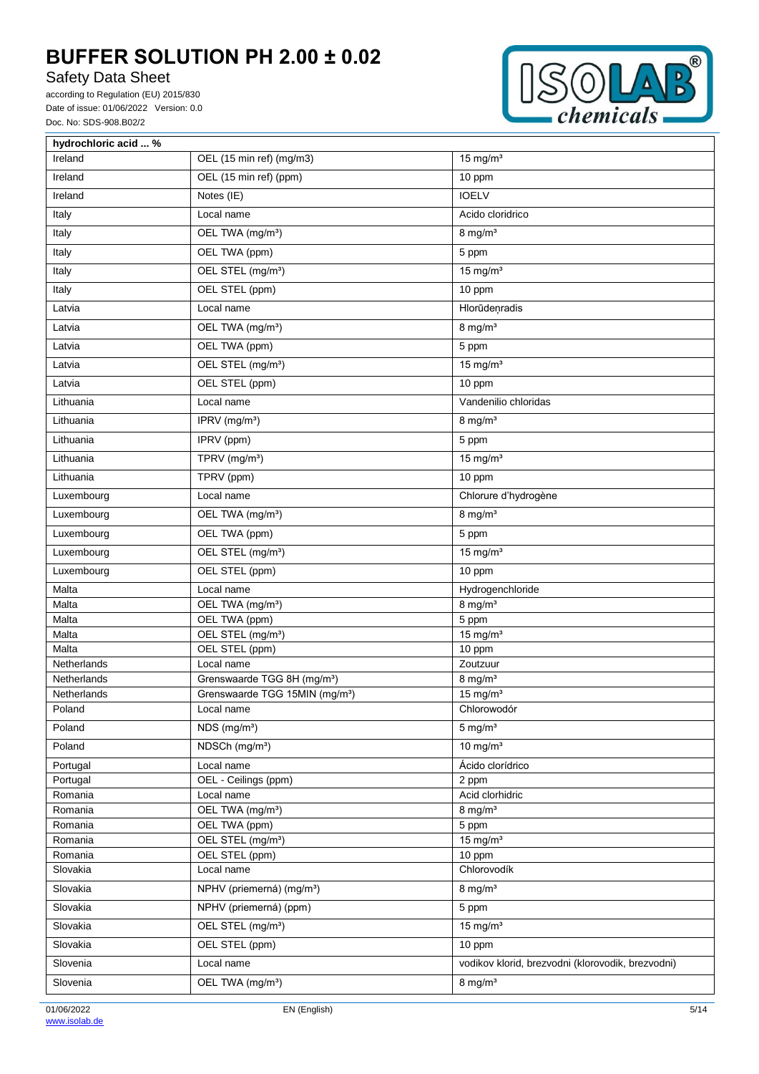Safety Data Sheet



| hydrochloric acid  % |                                            |                                                   |
|----------------------|--------------------------------------------|---------------------------------------------------|
| Ireland              | OEL (15 min ref) (mg/m3)                   | 15 mg/ $m3$                                       |
| Ireland              | OEL (15 min ref) (ppm)                     | 10 ppm                                            |
| Ireland              | Notes (IE)                                 | <b>IOELV</b>                                      |
| Italy                | Local name                                 | Acido cloridrico                                  |
| Italy                | OEL TWA (mg/m <sup>3</sup> )               | $8$ mg/m <sup>3</sup>                             |
| Italy                | OEL TWA (ppm)                              | 5 ppm                                             |
| Italy                | OEL STEL (mg/m <sup>3</sup> )              | $15$ mg/m <sup>3</sup>                            |
| Italy                | OEL STEL (ppm)                             | 10 ppm                                            |
| Latvia               | Local name                                 | Hlorūdeņradis                                     |
| Latvia               | OEL TWA (mg/m <sup>3</sup> )               | $8 \text{ mg/m}^3$                                |
| Latvia               | OEL TWA (ppm)                              | 5 ppm                                             |
| Latvia               | OEL STEL (mg/m <sup>3</sup> )              | $15$ mg/m <sup>3</sup>                            |
| Latvia               | OEL STEL (ppm)                             | 10 ppm                                            |
| Lithuania            | Local name                                 | Vandenilio chloridas                              |
| Lithuania            | IPRV (mg/m <sup>3</sup> )                  | $8$ mg/m <sup>3</sup>                             |
| Lithuania            | IPRV (ppm)                                 | 5 ppm                                             |
| Lithuania            | TPRV (mg/m <sup>3</sup> )                  | $15 \text{ mg/m}^3$                               |
| Lithuania            | TPRV (ppm)                                 | 10 ppm                                            |
| Luxembourg           | Local name                                 | Chlorure d'hydrogène                              |
| Luxembourg           | OEL TWA (mg/m <sup>3</sup> )               | $8$ mg/m <sup>3</sup>                             |
| Luxembourg           | OEL TWA (ppm)                              | 5 ppm                                             |
| Luxembourg           | OEL STEL (mg/m <sup>3</sup> )              | $15$ mg/m <sup>3</sup>                            |
| Luxembourg           | OEL STEL (ppm)                             | 10 ppm                                            |
| Malta                | Local name                                 | Hydrogenchloride                                  |
| Malta                | OEL TWA (mg/m <sup>3</sup> )               | $8$ mg/m <sup>3</sup>                             |
| Malta                | OEL TWA (ppm)                              | 5 ppm                                             |
| Malta                | OEL STEL (mg/m <sup>3</sup> )              | $\frac{1}{15}$ mg/m <sup>3</sup>                  |
| Malta                | OEL STEL (ppm)                             | 10 ppm                                            |
| Netherlands          | Local name                                 | Zoutzuur                                          |
| <b>Netherlands</b>   | Grenswaarde TGG 8H (mg/m <sup>3</sup> )    | $8 \text{ mg/m}^3$                                |
| Netherlands          | Grenswaarde TGG 15MIN (mg/m <sup>3</sup> ) | $15$ mg/m <sup>3</sup>                            |
| Poland               | Local name                                 | Chlorowodór                                       |
| Poland               | $NDS$ (mg/m <sup>3</sup> )                 | $5 \text{ mg/m}^3$                                |
| Poland               | NDSCh (mg/m <sup>3</sup> )                 | 10 mg/ $m3$                                       |
| Portugal             | Local name                                 | Ácido clorídrico                                  |
| Portugal             | OEL - Ceilings (ppm)                       | 2 ppm                                             |
| Romania              | Local name                                 | Acid clorhidric                                   |
| Romania              | OEL TWA (mg/m <sup>3</sup> )               | $8 \text{ mg/m}^3$                                |
| Romania              | OEL TWA (ppm)                              | 5 ppm                                             |
| Romania              | OEL STEL (mg/m <sup>3</sup> )              | $15$ mg/m <sup>3</sup>                            |
| Romania              | OEL STEL (ppm)                             | 10 ppm                                            |
| Slovakia             | Local name                                 | Chlorovodík                                       |
| Slovakia             | NPHV (priemerná) (mg/m <sup>3</sup> )      | $8$ mg/m <sup>3</sup>                             |
| Slovakia             | NPHV (priemerná) (ppm)                     | 5 ppm                                             |
| Slovakia             | OEL STEL (mg/m <sup>3</sup> )              | 15 mg/ $m3$                                       |
| Slovakia             | OEL STEL (ppm)                             | 10 ppm                                            |
| Slovenia             | Local name                                 | vodikov klorid, brezvodni (klorovodik, brezvodni) |
| Slovenia             | OEL TWA (mg/m <sup>3</sup> )               | $8 \text{ mg/m}^3$                                |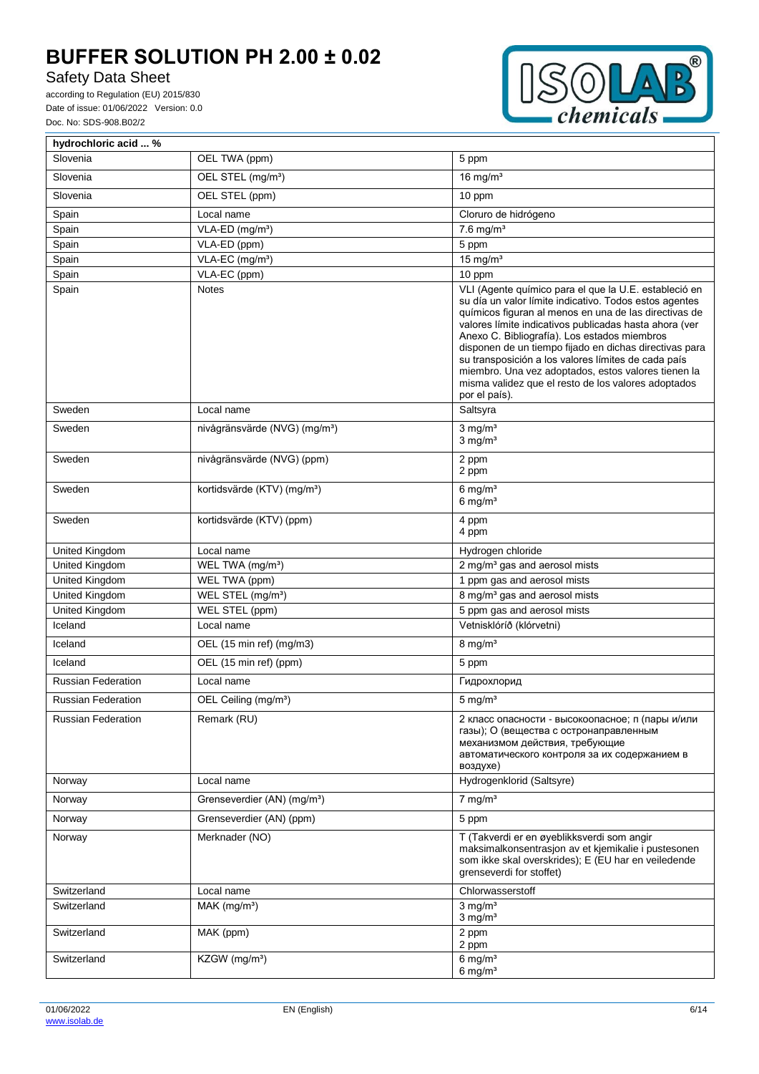# Safety Data Sheet



| hydrochloric acid  %      |                                           |                                                                                                                                                                                                                                                                                                                                                                                                                                                                                                                                    |
|---------------------------|-------------------------------------------|------------------------------------------------------------------------------------------------------------------------------------------------------------------------------------------------------------------------------------------------------------------------------------------------------------------------------------------------------------------------------------------------------------------------------------------------------------------------------------------------------------------------------------|
| Slovenia                  | OEL TWA (ppm)                             | 5 ppm                                                                                                                                                                                                                                                                                                                                                                                                                                                                                                                              |
| Slovenia                  | OEL STEL (mg/m <sup>3</sup> )             | 16 mg/ $m3$                                                                                                                                                                                                                                                                                                                                                                                                                                                                                                                        |
| Slovenia                  | OEL STEL (ppm)                            | 10 ppm                                                                                                                                                                                                                                                                                                                                                                                                                                                                                                                             |
| Spain                     | Local name                                | Cloruro de hidrógeno                                                                                                                                                                                                                                                                                                                                                                                                                                                                                                               |
| Spain                     | VLA-ED (mg/m <sup>3</sup> )               | $7.6$ mg/m <sup>3</sup>                                                                                                                                                                                                                                                                                                                                                                                                                                                                                                            |
| Spain                     | VLA-ED (ppm)                              | 5 ppm                                                                                                                                                                                                                                                                                                                                                                                                                                                                                                                              |
| Spain                     | VLA-EC (mg/m <sup>3</sup> )               | 15 mg/ $m3$                                                                                                                                                                                                                                                                                                                                                                                                                                                                                                                        |
| Spain                     | VLA-EC (ppm)                              | 10 ppm                                                                                                                                                                                                                                                                                                                                                                                                                                                                                                                             |
| Spain                     | <b>Notes</b>                              | VLI (Agente químico para el que la U.E. estableció en<br>su día un valor límite indicativo. Todos estos agentes<br>químicos figuran al menos en una de las directivas de<br>valores límite indicativos publicadas hasta ahora (ver<br>Anexo C. Bibliografía). Los estados miembros<br>disponen de un tiempo fijado en dichas directivas para<br>su transposición a los valores límites de cada país<br>miembro. Una vez adoptados, estos valores tienen la<br>misma validez que el resto de los valores adoptados<br>por el país). |
| Sweden                    | Local name                                | Saltsyra                                                                                                                                                                                                                                                                                                                                                                                                                                                                                                                           |
| Sweden                    | nivågränsvärde (NVG) (mg/m <sup>3</sup> ) | $3$ mg/m <sup>3</sup><br>$3$ mg/m <sup>3</sup>                                                                                                                                                                                                                                                                                                                                                                                                                                                                                     |
| Sweden                    | nivågränsvärde (NVG) (ppm)                | 2 ppm<br>2 ppm                                                                                                                                                                                                                                                                                                                                                                                                                                                                                                                     |
| Sweden                    | kortidsvärde (KTV) (mg/m <sup>3</sup> )   | 6 mg/ $m3$<br>6 mg/ $m3$                                                                                                                                                                                                                                                                                                                                                                                                                                                                                                           |
| Sweden                    | kortidsvärde (KTV) (ppm)                  | 4 ppm<br>4 ppm                                                                                                                                                                                                                                                                                                                                                                                                                                                                                                                     |
| United Kingdom            | Local name                                | Hydrogen chloride                                                                                                                                                                                                                                                                                                                                                                                                                                                                                                                  |
| United Kingdom            | WEL TWA (mg/m <sup>3</sup> )              | 2 mg/m <sup>3</sup> gas and aerosol mists                                                                                                                                                                                                                                                                                                                                                                                                                                                                                          |
| United Kingdom            | WEL TWA (ppm)                             | 1 ppm gas and aerosol mists                                                                                                                                                                                                                                                                                                                                                                                                                                                                                                        |
| United Kingdom            | WEL STEL (mg/m <sup>3</sup> )             | 8 mg/m <sup>3</sup> gas and aerosol mists                                                                                                                                                                                                                                                                                                                                                                                                                                                                                          |
| United Kingdom            | WEL STEL (ppm)                            | 5 ppm gas and aerosol mists                                                                                                                                                                                                                                                                                                                                                                                                                                                                                                        |
| Iceland                   | Local name                                | Vetnisklóríð (klórvetni)                                                                                                                                                                                                                                                                                                                                                                                                                                                                                                           |
| Iceland                   | OEL (15 min ref) (mg/m3)                  | $8 \text{ mg/m}^3$                                                                                                                                                                                                                                                                                                                                                                                                                                                                                                                 |
| Iceland                   | OEL (15 min ref) (ppm)                    | 5 ppm                                                                                                                                                                                                                                                                                                                                                                                                                                                                                                                              |
| <b>Russian Federation</b> | Local name                                | Гидрохлорид                                                                                                                                                                                                                                                                                                                                                                                                                                                                                                                        |
| <b>Russian Federation</b> | OEL Ceiling (mg/m <sup>3</sup> )          | $5 \text{ mg/m}^3$                                                                                                                                                                                                                                                                                                                                                                                                                                                                                                                 |
| <b>Russian Federation</b> | Remark (RU)                               | 2 класс опасности - высокоопасное; п (пары и/или<br>газы); О (вещества с остронаправленным<br>механизмом действия, требующие<br>автоматического контроля за их содержанием в<br>воздухе)                                                                                                                                                                                                                                                                                                                                           |
| Norway                    | Local name                                | Hydrogenklorid (Saltsyre)                                                                                                                                                                                                                                                                                                                                                                                                                                                                                                          |
| Norway                    | Grenseverdier (AN) (mg/m <sup>3</sup> )   | $7 \text{ ma/m}^3$                                                                                                                                                                                                                                                                                                                                                                                                                                                                                                                 |
| Norway                    | Grenseverdier (AN) (ppm)                  | 5 ppm                                                                                                                                                                                                                                                                                                                                                                                                                                                                                                                              |
| Norway                    | Merknader (NO)                            | T (Takverdi er en øyeblikksverdi som angir<br>maksimalkonsentrasjon av et kjemikalie i pustesonen<br>som ikke skal overskrides); E (EU har en veiledende<br>grenseverdi for stoffet)                                                                                                                                                                                                                                                                                                                                               |
| Switzerland               | Local name                                | Chlorwasserstoff                                                                                                                                                                                                                                                                                                                                                                                                                                                                                                                   |
| Switzerland               | $MAK$ (mg/m <sup>3</sup> )                | $3$ mg/m <sup>3</sup><br>$3$ mg/m <sup>3</sup>                                                                                                                                                                                                                                                                                                                                                                                                                                                                                     |
| Switzerland               | MAK (ppm)                                 | 2 ppm<br>2 ppm                                                                                                                                                                                                                                                                                                                                                                                                                                                                                                                     |
| Switzerland               | KZGW (mg/m <sup>3</sup> )                 | $6$ mg/m <sup>3</sup><br>$6 \text{ mg/m}^3$                                                                                                                                                                                                                                                                                                                                                                                                                                                                                        |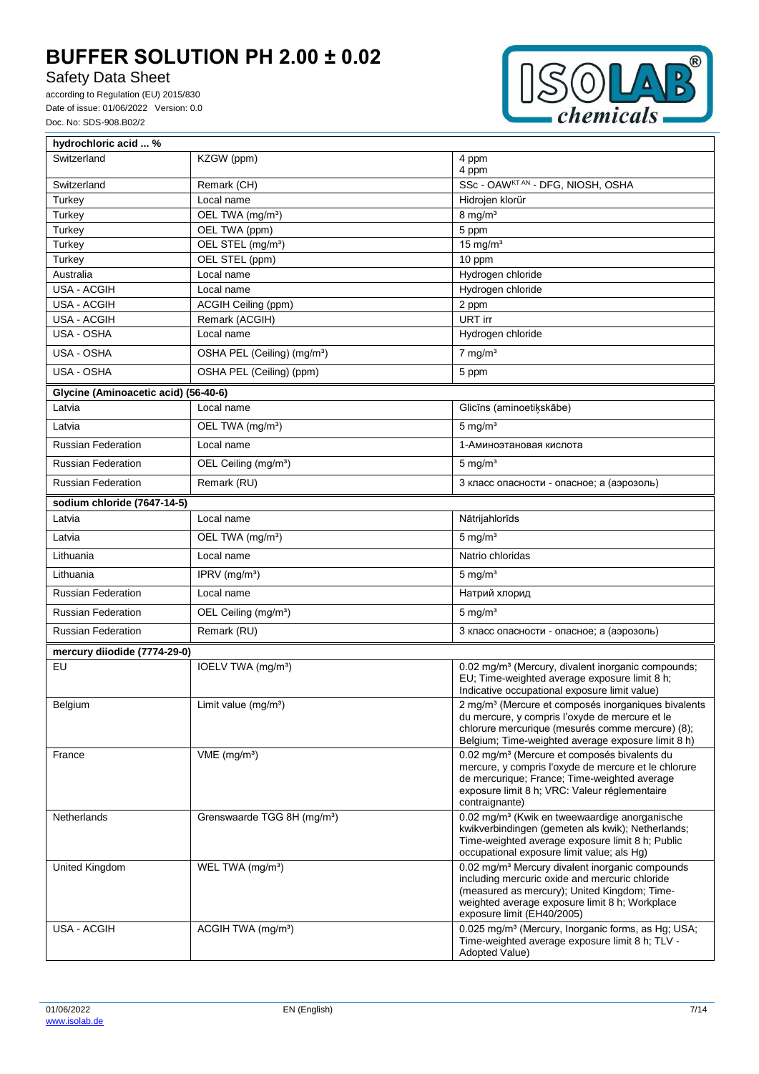# Safety Data Sheet



| hydrochloric acid  %                 |                                         |                                                                                                                                                                                                                                               |
|--------------------------------------|-----------------------------------------|-----------------------------------------------------------------------------------------------------------------------------------------------------------------------------------------------------------------------------------------------|
| Switzerland                          | KZGW (ppm)                              | 4 ppm<br>4 ppm                                                                                                                                                                                                                                |
| Switzerland                          | Remark (CH)                             | SSc - OAWKTAN - DFG, NIOSH, OSHA                                                                                                                                                                                                              |
| Turkey                               | Local name                              | Hidrojen klorür                                                                                                                                                                                                                               |
| Turkey                               | OEL TWA (mg/m <sup>3</sup> )            | $8$ mg/m <sup>3</sup>                                                                                                                                                                                                                         |
| Turkey                               | OEL TWA (ppm)                           | 5 ppm                                                                                                                                                                                                                                         |
| Turkey                               | OEL STEL (mg/m <sup>3</sup> )           | 15 mg/ $m3$                                                                                                                                                                                                                                   |
| Turkey                               | OEL STEL (ppm)                          | 10 ppm                                                                                                                                                                                                                                        |
| Australia                            | Local name                              | Hydrogen chloride                                                                                                                                                                                                                             |
| USA - ACGIH                          | Local name                              | Hydrogen chloride                                                                                                                                                                                                                             |
| USA - ACGIH                          | ACGIH Ceiling (ppm)                     | 2 ppm                                                                                                                                                                                                                                         |
| USA - ACGIH                          | Remark (ACGIH)                          | URT irr                                                                                                                                                                                                                                       |
| USA - OSHA                           | Local name                              | Hydrogen chloride                                                                                                                                                                                                                             |
| USA - OSHA                           | OSHA PEL (Ceiling) (mg/m <sup>3</sup> ) | $7$ mg/m <sup>3</sup>                                                                                                                                                                                                                         |
| USA - OSHA                           | OSHA PEL (Ceiling) (ppm)                | 5 ppm                                                                                                                                                                                                                                         |
| Glycine (Aminoacetic acid) (56-40-6) |                                         |                                                                                                                                                                                                                                               |
| Latvia                               | Local name                              | Glicīns (aminoetikskābe)                                                                                                                                                                                                                      |
| Latvia                               | OEL TWA (mg/m <sup>3</sup> )            | $5 \text{ mg/m}^3$                                                                                                                                                                                                                            |
| <b>Russian Federation</b>            | Local name                              | 1-Аминоэтановая кислота                                                                                                                                                                                                                       |
| <b>Russian Federation</b>            | OEL Ceiling (mg/m <sup>3</sup> )        | $5 \text{ mg/m}^3$                                                                                                                                                                                                                            |
| <b>Russian Federation</b>            | Remark (RU)                             | 3 класс опасности - опасное; а (аэрозоль)                                                                                                                                                                                                     |
| sodium chloride (7647-14-5)          |                                         |                                                                                                                                                                                                                                               |
| Latvia                               | Local name                              | Nātrijahlorīds                                                                                                                                                                                                                                |
| Latvia                               | OEL TWA (mg/m <sup>3</sup> )            | $5 \text{ mg/m}^3$                                                                                                                                                                                                                            |
| Lithuania                            | Local name                              | Natrio chloridas                                                                                                                                                                                                                              |
| Lithuania                            | IPRV $(mg/m3)$                          | $5 \text{ mg/m}^3$                                                                                                                                                                                                                            |
| <b>Russian Federation</b>            | Local name                              | Натрий хлорид                                                                                                                                                                                                                                 |
| <b>Russian Federation</b>            | OEL Ceiling (mg/m <sup>3</sup> )        | $5 \text{ mg/m}^3$                                                                                                                                                                                                                            |
| <b>Russian Federation</b>            | Remark (RU)                             | 3 класс опасности - опасное; а (аэрозоль)                                                                                                                                                                                                     |
| mercury diiodide (7774-29-0)         |                                         |                                                                                                                                                                                                                                               |
| EU                                   | IOELV TWA (mg/m <sup>3</sup> )          | 0.02 mg/m <sup>3</sup> (Mercury, divalent inorganic compounds;<br>EU; Time-weighted average exposure limit 8 h;<br>Indicative occupational exposure limit value)                                                                              |
| Belgium                              | Limit value $(mg/m3)$                   | 2 mg/m <sup>3</sup> (Mercure et composés inorganiques bivalents<br>du mercure, y compris l'oxyde de mercure et le<br>chlorure mercurique (mesurés comme mercure) (8);<br>Belgium; Time-weighted average exposure limit 8 h)                   |
| France                               | $VME$ (mg/m <sup>3</sup> )              | 0.02 mg/m <sup>3</sup> (Mercure et composés bivalents du<br>mercure, y compris l'oxyde de mercure et le chlorure<br>de mercurique; France; Time-weighted average<br>exposure limit 8 h; VRC: Valeur réglementaire<br>contraignante)           |
| Netherlands                          | Grenswaarde TGG 8H (mg/m <sup>3</sup> ) | 0.02 mg/m <sup>3</sup> (Kwik en tweewaardige anorganische<br>kwikverbindingen (gemeten als kwik); Netherlands;<br>Time-weighted average exposure limit 8 h; Public<br>occupational exposure limit value; als Hg)                              |
| United Kingdom                       | WEL TWA (mg/m <sup>3</sup> )            | 0.02 mg/m <sup>3</sup> Mercury divalent inorganic compounds<br>including mercuric oxide and mercuric chloride<br>(measured as mercury); United Kingdom; Time-<br>weighted average exposure limit 8 h; Workplace<br>exposure limit (EH40/2005) |
| USA - ACGIH                          | ACGIH TWA (mg/m <sup>3</sup> )          | 0.025 mg/m <sup>3</sup> (Mercury, Inorganic forms, as Hg; USA;<br>Time-weighted average exposure limit 8 h; TLV -<br>Adopted Value)                                                                                                           |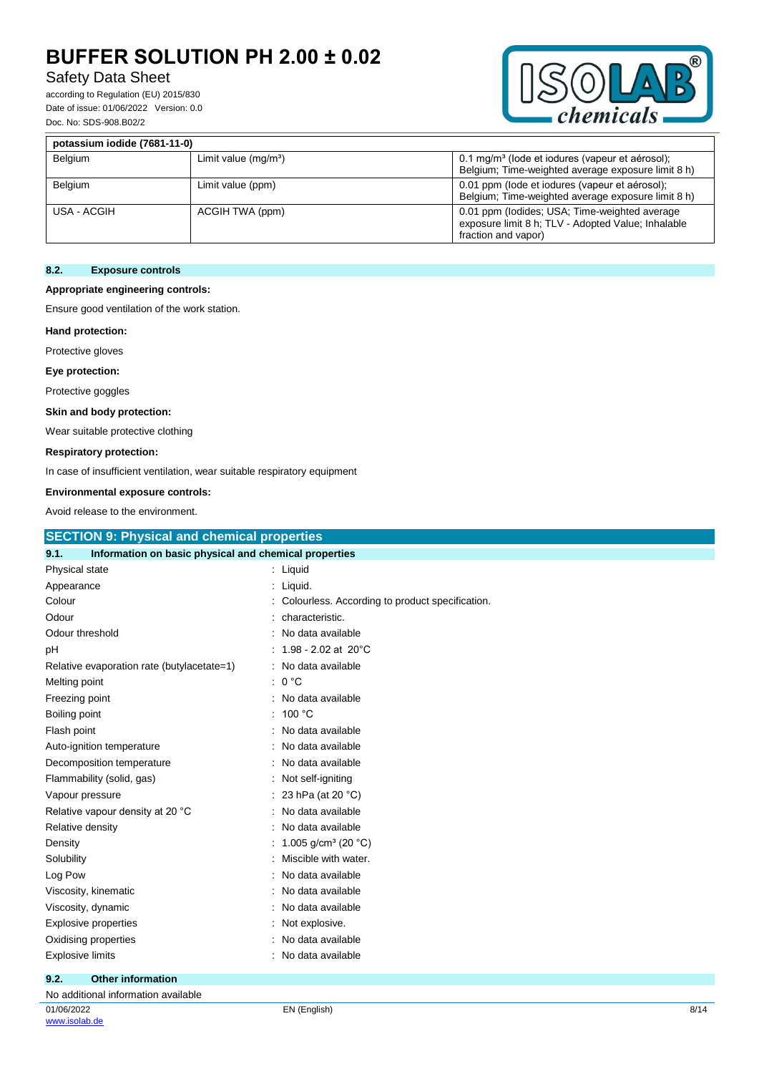## Safety Data Sheet

according to Regulation (EU) 2015/830 Date of issue: 01/06/2022 Version: 0.0 Doc. No: SDS-908.B02/2



| potassium iodide (7681-11-0) |                        |                                                                                                                            |  |
|------------------------------|------------------------|----------------------------------------------------------------------------------------------------------------------------|--|
| Belgium                      | Limit value $(mq/m^3)$ | 0.1 mg/m <sup>3</sup> (lode et iodures (vapeur et aérosol);<br>Belgium; Time-weighted average exposure limit 8 h)          |  |
| Belgium                      | Limit value (ppm)      | 0.01 ppm (lode et iodures (vapeur et aérosol);<br>Belgium; Time-weighted average exposure limit 8 h)                       |  |
| USA - ACGIH                  | ACGIH TWA (ppm)        | 0.01 ppm (lodides; USA; Time-weighted average<br>exposure limit 8 h; TLV - Adopted Value; Inhalable<br>fraction and vapor) |  |

### **8.2. Exposure controls**

### **Appropriate engineering controls:**

Ensure good ventilation of the work station.

### **Hand protection:**

Protective gloves

#### **Eye protection:**

Protective goggles

#### **Skin and body protection:**

Wear suitable protective clothing

#### **Respiratory protection:**

In case of insufficient ventilation, wear suitable respiratory equipment

#### **Environmental exposure controls:**

Avoid release to the environment.

| <b>SECTION 9: Physical and chemical properties</b>            |                                                 |  |
|---------------------------------------------------------------|-------------------------------------------------|--|
| Information on basic physical and chemical properties<br>9.1. |                                                 |  |
| Physical state                                                | : Liquid                                        |  |
| Appearance                                                    | : Liquid.                                       |  |
| Colour                                                        | Colourless. According to product specification. |  |
| Odour                                                         | characteristic.                                 |  |
| Odour threshold                                               | No data available                               |  |
| рH                                                            | 1.98 - 2.02 at $20^{\circ}$ C                   |  |
| Relative evaporation rate (butylacetate=1)                    | : No data available                             |  |
| Melting point                                                 | 0 °C<br>÷                                       |  |
| Freezing point                                                | No data available                               |  |
| Boiling point                                                 | 100 °C                                          |  |
| Flash point                                                   | No data available                               |  |
| Auto-ignition temperature                                     | No data available                               |  |
| Decomposition temperature                                     | No data available                               |  |
| Flammability (solid, gas)                                     | Not self-igniting                               |  |
| Vapour pressure                                               | 23 hPa (at 20 °C)                               |  |
| Relative vapour density at 20 °C                              | No data available                               |  |
| Relative density                                              | No data available                               |  |
| Density                                                       | 1.005 g/cm <sup>3</sup> (20 °C)                 |  |
| Solubility                                                    | Miscible with water.                            |  |
| Log Pow                                                       | No data available                               |  |
| Viscosity, kinematic                                          | No data available                               |  |
| Viscosity, dynamic                                            | No data available                               |  |
| <b>Explosive properties</b>                                   | Not explosive.                                  |  |
| Oxidising properties                                          | No data available                               |  |
| <b>Explosive limits</b>                                       | No data available                               |  |
| 9.2.<br><b>Other information</b>                              |                                                 |  |

| No additional information available |              |      |  |
|-------------------------------------|--------------|------|--|
| 01/06/2022<br>www.isolab.de         | EN (English) | 8/14 |  |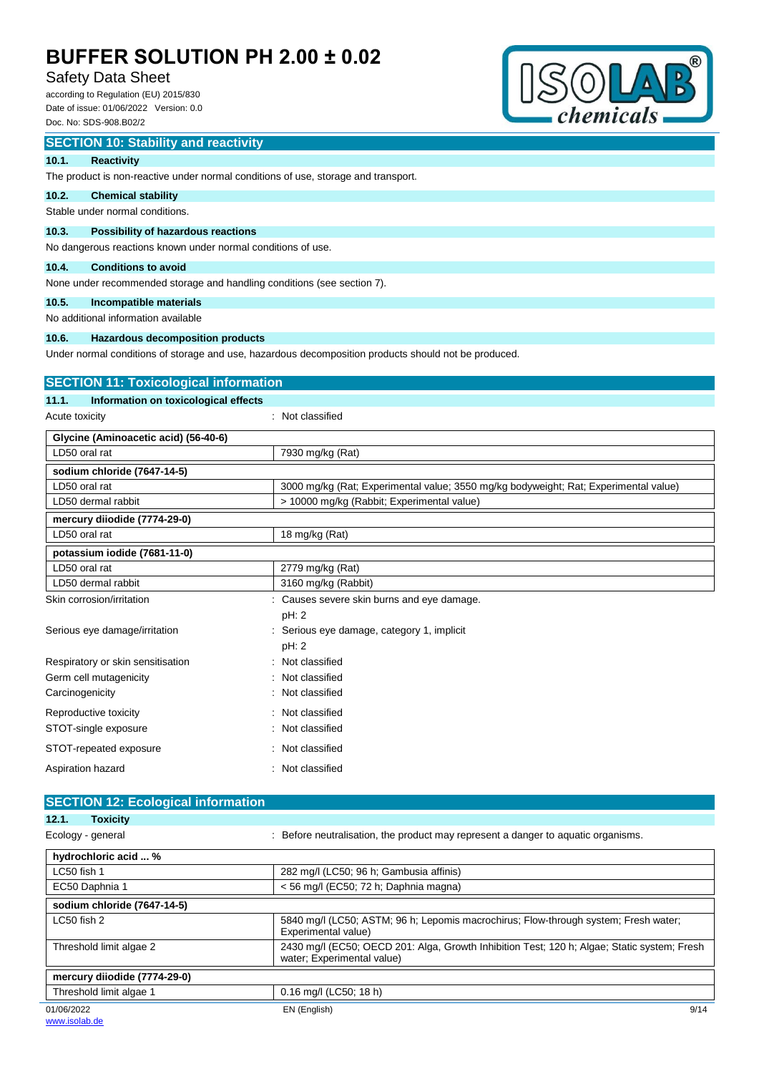## Safety Data Sheet

according to Regulation (EU) 2015/830 Date of issue: 01/06/2022 Version: 0.0 Doc. No: SDS-908.B02/2



#### **SECTION 10: Stability and reactivity**

#### **10.1. Reactivity**

The product is non-reactive under normal conditions of use, storage and transport.

#### **10.2. Chemical stability**

Stable under normal conditions.

#### **10.3. Possibility of hazardous reactions**

No dangerous reactions known under normal conditions of use.

#### **10.4. Conditions to avoid**

None under recommended storage and handling conditions (see section 7).

### **10.5. Incompatible materials**

No additional information available

### **10.6. Hazardous decomposition products**

Under normal conditions of storage and use, hazardous decomposition products should not be produced.

# **SECTION 11: Toxicological information**

**11.1. Information on toxicological effects**

Acute toxicity in the contract of the classified in the classified in the classified in the classified in the classified in the classified in the classified in the classified in the classified in the classified in the clas

| Glycine (Aminoacetic acid) (56-40-6) |                                                                                      |  |  |
|--------------------------------------|--------------------------------------------------------------------------------------|--|--|
| LD50 oral rat                        | 7930 mg/kg (Rat)                                                                     |  |  |
| sodium chloride (7647-14-5)          |                                                                                      |  |  |
| LD50 oral rat                        | 3000 mg/kg (Rat; Experimental value; 3550 mg/kg bodyweight; Rat; Experimental value) |  |  |
| LD50 dermal rabbit                   | > 10000 mg/kg (Rabbit; Experimental value)                                           |  |  |
| mercury diiodide (7774-29-0)         |                                                                                      |  |  |
| LD50 oral rat                        | 18 mg/kg (Rat)                                                                       |  |  |
| potassium iodide (7681-11-0)         |                                                                                      |  |  |
| LD50 oral rat                        | 2779 mg/kg (Rat)                                                                     |  |  |
| LD50 dermal rabbit                   | 3160 mg/kg (Rabbit)                                                                  |  |  |
| Skin corrosion/irritation            | Causes severe skin burns and eye damage.                                             |  |  |
|                                      | pH: 2                                                                                |  |  |
| Serious eye damage/irritation        | Serious eye damage, category 1, implicit                                             |  |  |
|                                      | pH: 2                                                                                |  |  |
| Respiratory or skin sensitisation    | Not classified                                                                       |  |  |
| Germ cell mutagenicity               | Not classified                                                                       |  |  |
| Carcinogenicity                      | Not classified                                                                       |  |  |
| Reproductive toxicity                | Not classified                                                                       |  |  |
| STOT-single exposure                 | Not classified                                                                       |  |  |
| STOT-repeated exposure               | : Not classified                                                                     |  |  |
| Aspiration hazard                    | Not classified                                                                       |  |  |

#### **SECTION 12: Ecological information 12.1. Toxicity**

| 14. L<br>TUAIGILY            |                                                                                                                           |  |  |
|------------------------------|---------------------------------------------------------------------------------------------------------------------------|--|--|
| Ecology - general            | : Before neutralisation, the product may represent a danger to aquatic organisms.                                         |  |  |
| hydrochloric acid  %         |                                                                                                                           |  |  |
| LC50 fish 1                  | 282 mg/l (LC50; 96 h; Gambusia affinis)                                                                                   |  |  |
| EC50 Daphnia 1               | $<$ 56 mg/l (EC50; 72 h; Daphnia magna)                                                                                   |  |  |
| sodium chloride (7647-14-5)  |                                                                                                                           |  |  |
| LC50 fish 2                  | 5840 mg/l (LC50; ASTM; 96 h; Lepomis macrochirus; Flow-through system; Fresh water;<br>Experimental value)                |  |  |
| Threshold limit algae 2      | 2430 mg/l (EC50; OECD 201: Alga, Growth Inhibition Test; 120 h; Algae; Static system; Fresh<br>water; Experimental value) |  |  |
| mercury diiodide (7774-29-0) |                                                                                                                           |  |  |
| Threshold limit algae 1      | $0.16$ mg/l (LC50; 18 h)                                                                                                  |  |  |
| 01/06/2022                   | 9/14<br>EN (English)                                                                                                      |  |  |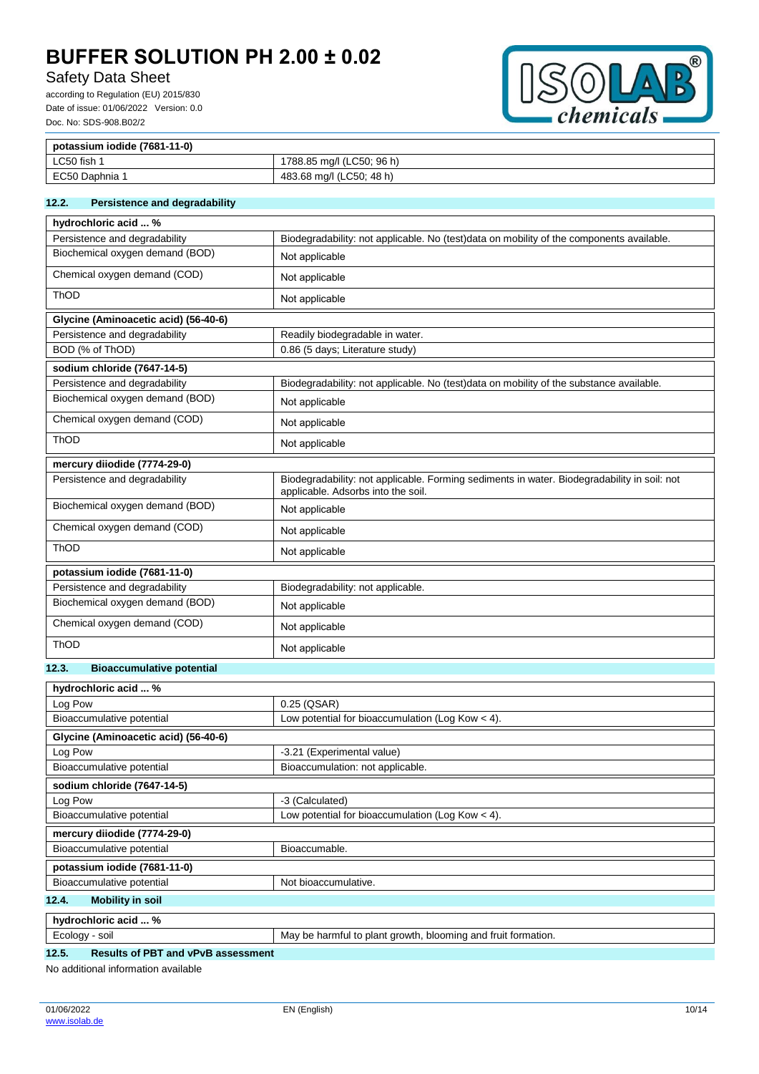# Safety Data Sheet

according to Regulation (EU) 2015/830 Date of issue: 01/06/2022 Version: 0.0 Doc. No: SDS-908.B02/2



| potassium iodide (7681-11-0) |                           |  |
|------------------------------|---------------------------|--|
| LC50 fish                    | 1788.85 mg/l (LC50; 96 h) |  |
| EC50 Daphnia 1               | 483.68 mg/l (LC50; 48 h)  |  |

### **12.2. Persistence and degradability**

| hydrochloric acid  %                      |                                                                                                                                   |
|-------------------------------------------|-----------------------------------------------------------------------------------------------------------------------------------|
| Persistence and degradability             | Biodegradability: not applicable. No (test)data on mobility of the components available.                                          |
| Biochemical oxygen demand (BOD)           | Not applicable                                                                                                                    |
| Chemical oxygen demand (COD)              | Not applicable                                                                                                                    |
| ThOD                                      | Not applicable                                                                                                                    |
| Glycine (Aminoacetic acid) (56-40-6)      |                                                                                                                                   |
| Persistence and degradability             | Readily biodegradable in water.                                                                                                   |
| BOD (% of ThOD)                           | 0.86 (5 days; Literature study)                                                                                                   |
| sodium chloride (7647-14-5)               |                                                                                                                                   |
| Persistence and degradability             | Biodegradability: not applicable. No (test)data on mobility of the substance available.                                           |
| Biochemical oxygen demand (BOD)           | Not applicable                                                                                                                    |
| Chemical oxygen demand (COD)              | Not applicable                                                                                                                    |
| ThOD                                      | Not applicable                                                                                                                    |
| mercury diiodide (7774-29-0)              |                                                                                                                                   |
| Persistence and degradability             | Biodegradability: not applicable. Forming sediments in water. Biodegradability in soil: not<br>applicable. Adsorbs into the soil. |
| Biochemical oxygen demand (BOD)           | Not applicable                                                                                                                    |
| Chemical oxygen demand (COD)              | Not applicable                                                                                                                    |
| ThOD                                      | Not applicable                                                                                                                    |
| potassium iodide (7681-11-0)              |                                                                                                                                   |
| Persistence and degradability             | Biodegradability: not applicable.                                                                                                 |
| Biochemical oxygen demand (BOD)           | Not applicable                                                                                                                    |
| Chemical oxygen demand (COD)              | Not applicable                                                                                                                    |
| <b>ThOD</b>                               | Not applicable                                                                                                                    |
| 12.3.<br><b>Bioaccumulative potential</b> |                                                                                                                                   |

#### hydrochloric acid <sup>0/</sup>

| nyarochionic aciu  70                |                                                               |
|--------------------------------------|---------------------------------------------------------------|
| Log Pow                              | 0.25 (QSAR)                                                   |
| Bioaccumulative potential            | Low potential for bioaccumulation (Log Kow $<$ 4).            |
| Glycine (Aminoacetic acid) (56-40-6) |                                                               |
| Log Pow                              | -3.21 (Experimental value)                                    |
| Bioaccumulative potential            | Bioaccumulation: not applicable.                              |
| sodium chloride (7647-14-5)          |                                                               |
| Log Pow                              | -3 (Calculated)                                               |
| Bioaccumulative potential            | Low potential for bioaccumulation (Log Kow $<$ 4).            |
| mercury diiodide (7774-29-0)         |                                                               |
| Bioaccumulative potential            | Bioaccumable.                                                 |
| potassium iodide (7681-11-0)         |                                                               |
| Bioaccumulative potential            | Not bioaccumulative.                                          |
| <b>Mobility in soil</b><br>12.4.     |                                                               |
| hydrochloric acid  %                 |                                                               |
| Ecology - soil                       | May be harmful to plant growth, blooming and fruit formation. |

| -<br>soil<br>coioc<br>u. | bloominc<br>torm<br>∩r∩wt<br>.<br>mation.<br>ano<br>nlant<br>. Ma<br>l IIT<br>DE.<br>ю<br>nar<br>тн<br>av<br>$\sim$ $\sim$ $\sim$ $\sim$ $\sim$ $\sim$ |
|--------------------------|--------------------------------------------------------------------------------------------------------------------------------------------------------|
|                          |                                                                                                                                                        |

## **12.5. Results of PBT and vPvB assessment**

No additional information available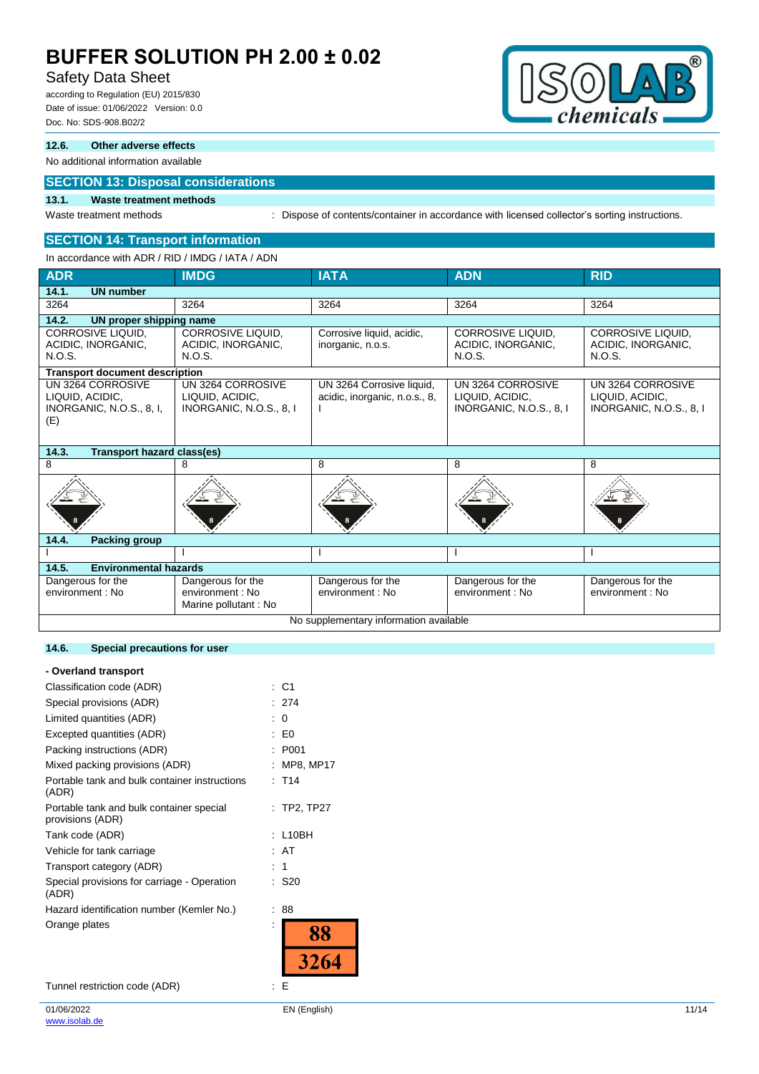## Safety Data Sheet

according to Regulation (EU) 2015/830 Date of issue: 01/06/2022 Version: 0.0 Doc. No: SDS-908.B02/2

## **12.6. Other adverse effects**

### No additional information available

## **SECTION 13: Disposal considerations**

### **13.1. Waste treatment methods**

Waste treatment methods : Dispose of contents/container in accordance with licensed collector's sorting instructions.

### **SECTION 14: Transport information** In accordance with ADR / RID / IMDG / IATA / ADN

| <b>ADR</b>                                                                     | <b>IMDG</b>                                                     | <b>IATA</b>                                                | <b>ADN</b>                                                      | <b>RID</b>                                                      |
|--------------------------------------------------------------------------------|-----------------------------------------------------------------|------------------------------------------------------------|-----------------------------------------------------------------|-----------------------------------------------------------------|
| <b>UN number</b><br>14.1.                                                      |                                                                 |                                                            |                                                                 |                                                                 |
| 3264                                                                           | 3264                                                            | 3264                                                       | 3264                                                            | 3264                                                            |
| 14.2.<br>UN proper shipping name                                               |                                                                 |                                                            |                                                                 |                                                                 |
| CORROSIVE LIQUID,<br>ACIDIC, INORGANIC,<br>N.O.S.                              | CORROSIVE LIQUID,<br>ACIDIC, INORGANIC,<br>N.O.S.               | Corrosive liquid, acidic,<br>inorganic, n.o.s.             | <b>CORROSIVE LIQUID.</b><br>ACIDIC, INORGANIC,<br>N.O.S.        | <b>CORROSIVE LIQUID.</b><br>ACIDIC, INORGANIC,<br>N.O.S.        |
| <b>Transport document description</b>                                          |                                                                 |                                                            |                                                                 |                                                                 |
| UN 3264 CORROSIVE<br>LIQUID, ACIDIC,<br><b>INORGANIC, N.O.S., 8, I,</b><br>(E) | UN 3264 CORROSIVE<br>LIQUID, ACIDIC,<br>INORGANIC, N.O.S., 8, I | UN 3264 Corrosive liquid,<br>acidic, inorganic, n.o.s., 8, | UN 3264 CORROSIVE<br>LIQUID, ACIDIC,<br>INORGANIC, N.O.S., 8, I | UN 3264 CORROSIVE<br>LIQUID, ACIDIC,<br>INORGANIC, N.O.S., 8, I |
| 14.3.<br><b>Transport hazard class(es)</b>                                     |                                                                 |                                                            |                                                                 |                                                                 |
| 8                                                                              | 8                                                               | 8                                                          | 8                                                               | 8                                                               |
|                                                                                |                                                                 |                                                            |                                                                 |                                                                 |
| 14.4.<br><b>Packing group</b>                                                  |                                                                 |                                                            |                                                                 |                                                                 |
|                                                                                |                                                                 |                                                            |                                                                 |                                                                 |
| 14.5.<br><b>Environmental hazards</b>                                          |                                                                 |                                                            |                                                                 |                                                                 |
| Dangerous for the<br>environment : No                                          | Dangerous for the<br>environment : No<br>Marine pollutant: No   | Dangerous for the<br>environment: No                       | Dangerous for the<br>environment: No                            | Dangerous for the<br>environment: No                            |
| No supplementary information available                                         |                                                                 |                                                            |                                                                 |                                                                 |

### **14.6. Special precautions for user**

### **- Overland transport**

| Classification code (ADR)                                    | : C1                |
|--------------------------------------------------------------|---------------------|
| Special provisions (ADR)                                     | 274                 |
| Limited quantities (ADR)                                     | 0                   |
| Excepted quantities (ADR)                                    | E0                  |
| Packing instructions (ADR)                                   | P001                |
| Mixed packing provisions (ADR)                               | <b>MP8, MP17</b>    |
| Portable tank and bulk container instructions<br>(ADR)       | $:$ T <sub>14</sub> |
| Portable tank and bulk container special<br>provisions (ADR) | $:$ TP2, TP27       |
| Tank code (ADR)                                              | : L10BH             |
| Vehicle for tank carriage                                    | : AT                |
| Transport category (ADR)                                     | 1                   |
| Special provisions for carriage - Operation<br>(ADR)         | S20                 |
| Hazard identification number (Kemler No.)                    | 88                  |
| Orange plates                                                |                     |
|                                                              |                     |

Tunnel restriction code (ADR) : E

 $^{\circledR}$ 

 $\frac{D}{D}$ 

 $\Delta$ 

hemicals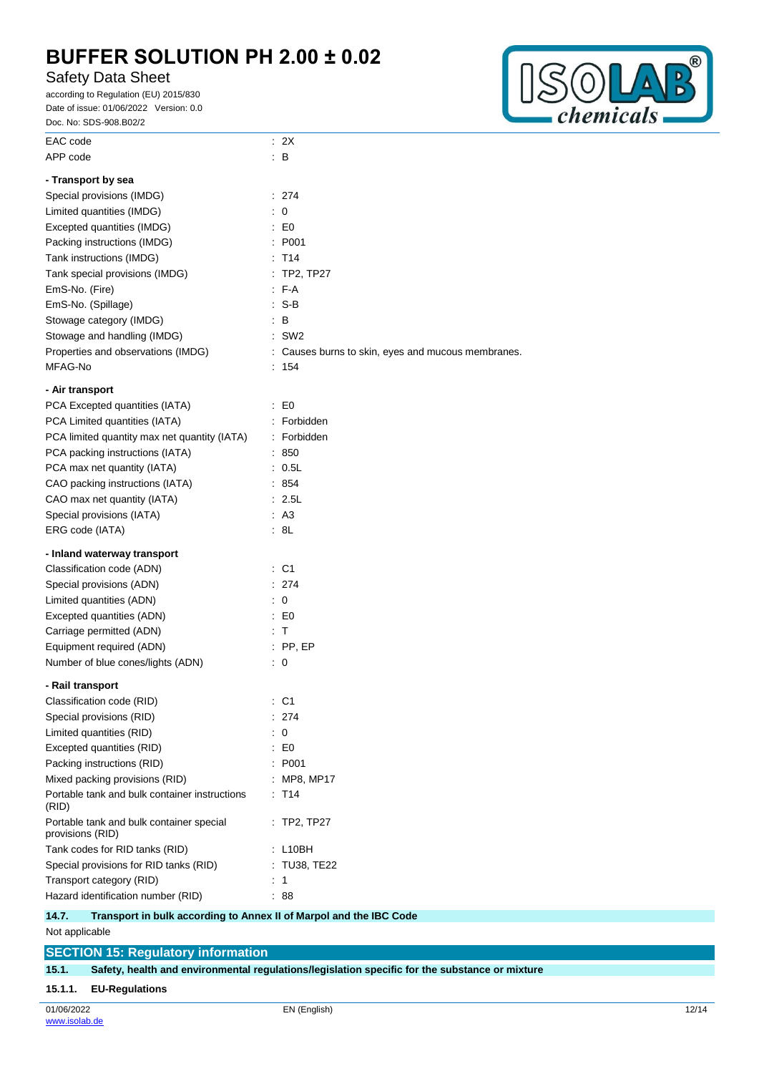# Safety Data Sheet

according to Regulation (EU) 2015/830 Date of issue: 01/06/2022 Version: 0.0 Doc. No: SDS-908.B02/2



| EAC code                                                     | : 2X                                               |
|--------------------------------------------------------------|----------------------------------------------------|
| APP code                                                     | : B                                                |
| - Transport by sea                                           |                                                    |
| Special provisions (IMDG)                                    | : 274                                              |
| Limited quantities (IMDG)                                    | $\colon 0$                                         |
| Excepted quantities (IMDG)                                   | $\mathsf{E}$ E0                                    |
| Packing instructions (IMDG)                                  | : P <sub>001</sub>                                 |
| Tank instructions (IMDG)                                     | $:$ T <sub>14</sub>                                |
| Tank special provisions (IMDG)                               | : TP2, TP27                                        |
| EmS-No. (Fire)                                               | $F-A$                                              |
| EmS-No. (Spillage)                                           | $\therefore$ S-B                                   |
| Stowage category (IMDG)                                      | : B                                                |
| Stowage and handling (IMDG)                                  | $:$ SW2                                            |
| Properties and observations (IMDG)                           | : Causes burns to skin, eyes and mucous membranes. |
| MFAG-No                                                      | : 154                                              |
|                                                              |                                                    |
| - Air transport                                              |                                                    |
| PCA Excepted quantities (IATA)                               | $\mathbf{E}$ EO                                    |
| PCA Limited quantities (IATA)                                | : Forbidden                                        |
| PCA limited quantity max net quantity (IATA)                 | : Forbidden                                        |
| PCA packing instructions (IATA)                              | : 850                                              |
| PCA max net quantity (IATA)                                  | : 0.5L                                             |
| CAO packing instructions (IATA)                              | : 854                                              |
| CAO max net quantity (IATA)                                  | : 2.5L                                             |
| Special provisions (IATA)                                    | : A3                                               |
| ERG code (IATA)                                              | : 8L                                               |
| - Inland waterway transport                                  |                                                    |
| Classification code (ADN)                                    | : C1                                               |
| Special provisions (ADN)                                     | : 274                                              |
| Limited quantities (ADN)                                     | : 0                                                |
| Excepted quantities (ADN)                                    | $E_{\rm C}$ = EQ                                   |
| Carriage permitted (ADN)                                     | : T                                                |
| Equipment required (ADN)                                     | $:$ PP, EP                                         |
| Number of blue cones/lights (ADN)                            | $\therefore$ 0                                     |
| - Rail transport                                             |                                                    |
| Classification code (RID)                                    | : C1                                               |
| Special provisions (RID)                                     | 274                                                |
| Limited quantities (RID)                                     | 0                                                  |
| Excepted quantities (RID)                                    | $\therefore$ EO                                    |
| Packing instructions (RID)                                   | : P001                                             |
| Mixed packing provisions (RID)                               | MP8, MP17                                          |
| Portable tank and bulk container instructions                | $:$ T <sub>14</sub>                                |
| (RID)                                                        |                                                    |
| Portable tank and bulk container special<br>provisions (RID) | $:$ TP2, TP27                                      |
| Tank codes for RID tanks (RID)                               | : L10BH                                            |
| Special provisions for RID tanks (RID)                       | : TU38, TE22                                       |
| Transport category (RID)                                     | 1                                                  |
| Hazard identification number (RID)                           | : 88                                               |
|                                                              |                                                    |

#### **14.7. Transport in bulk according to Annex II of Marpol and the IBC Code**

Not applicable

**SECTION 15: Regulatory information 15.1. Safety, health and environmental regulations/legislation specific for the substance or mixture 15.1.1. EU-Regulations**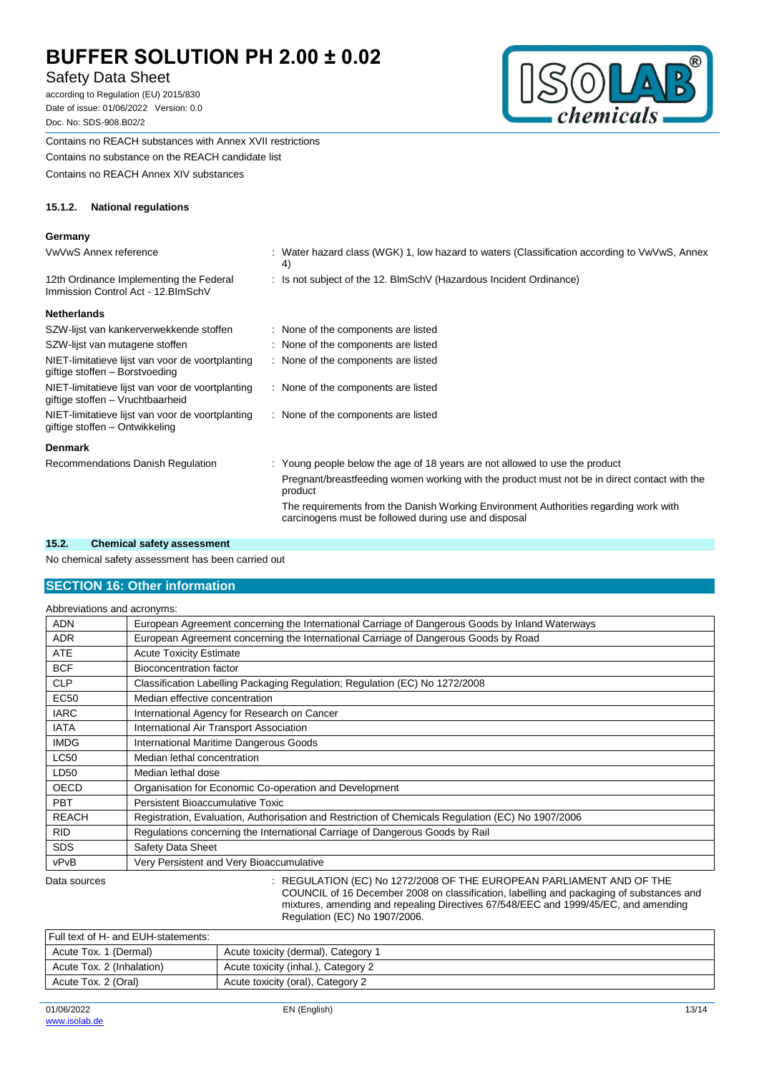## Safety Data Sheet

according to Regulation (EU) 2015/830 Date of issue: 01/06/2022 Version: 0.0 Doc. No: SDS-908.B02/2



Contains no REACH substances with Annex XVII restrictions Contains no substance on the REACH candidate list Contains no REACH Annex XIV substances

#### **15.1.2. National regulations**

#### **Germany**

| VwVwS Annex reference                                                                | : Water hazard class (WGK) 1, low hazard to waters (Classification according to VwVwS, Annex<br>4)      |
|--------------------------------------------------------------------------------------|---------------------------------------------------------------------------------------------------------|
| 12th Ordinance Implementing the Federal<br>Immission Control Act - 12. BlmSchV       | : Is not subject of the 12. BlmSchV (Hazardous Incident Ordinance)                                      |
| Netherlands                                                                          |                                                                                                         |
| SZW-lijst van kankerverwekkende stoffen                                              | : None of the components are listed                                                                     |
| SZW-lijst van mutagene stoffen                                                       | : None of the components are listed                                                                     |
| NIET-limitatieve lijst van voor de voortplanting<br>giftige stoffen – Borstvoeding   | : None of the components are listed                                                                     |
| NIET-limitatieve lijst van voor de voortplanting<br>giftige stoffen - Vruchtbaarheid | : None of the components are listed                                                                     |
| NIET-limitatieve lijst van voor de voortplanting<br>giftige stoffen – Ontwikkeling   | : None of the components are listed                                                                     |
| Denmark                                                                              |                                                                                                         |
| Recommendations Danish Regulation                                                    | : Young people below the age of 18 years are not allowed to use the product                             |
|                                                                                      | Pregnant/breastfeeding women working with the product must not be in direct contact with the<br>product |
|                                                                                      | The requirements from the Danish Working Environment Authorities regarding work with                    |

carcinogens must be followed during use and disposal

#### **15.2. Chemical safety assessment**

No chemical safety assessment has been carried out

## **SECTION 16: Other information**

| Abbreviations and acronyms: |                                                                                                   |
|-----------------------------|---------------------------------------------------------------------------------------------------|
| <b>ADN</b>                  | European Agreement concerning the International Carriage of Dangerous Goods by Inland Waterways   |
| <b>ADR</b>                  | European Agreement concerning the International Carriage of Dangerous Goods by Road               |
| <b>ATE</b>                  | <b>Acute Toxicity Estimate</b>                                                                    |
| <b>BCF</b>                  | Bioconcentration factor                                                                           |
| <b>CLP</b>                  | Classification Labelling Packaging Regulation; Regulation (EC) No 1272/2008                       |
| <b>EC50</b>                 | Median effective concentration                                                                    |
| <b>IARC</b>                 | International Agency for Research on Cancer                                                       |
| <b>IATA</b>                 | International Air Transport Association                                                           |
| <b>IMDG</b>                 | International Maritime Dangerous Goods                                                            |
| <b>LC50</b>                 | Median lethal concentration                                                                       |
| LD50                        | Median lethal dose                                                                                |
| <b>OECD</b>                 | Organisation for Economic Co-operation and Development                                            |
| <b>PBT</b>                  | Persistent Bioaccumulative Toxic                                                                  |
| <b>REACH</b>                | Registration, Evaluation, Authorisation and Restriction of Chemicals Regulation (EC) No 1907/2006 |
| <b>RID</b>                  | Regulations concerning the International Carriage of Dangerous Goods by Rail                      |
| <b>SDS</b>                  | Safety Data Sheet                                                                                 |
| vPvB                        | Very Persistent and Very Bioaccumulative                                                          |
| Data sources                | REGULATION (EC) No 1272/2008 OF THE EUROPEAN PARLIAMENT AND OF THE                                |

COUNCIL of 16 December 2008 on classification, labelling and packaging of substances and mixtures, amending and repealing Directives 67/548/EEC and 1999/45/EC, and amending Regulation (EC) No 1907/2006.

| Full text of H- and EUH-statements: |                                     |
|-------------------------------------|-------------------------------------|
| Acute Tox. 1 (Dermal)               | Acute toxicity (dermal), Category 1 |
| Acute Tox. 2 (Inhalation)           | Acute toxicity (inhal.), Category 2 |
| Acute Tox. 2 (Oral)                 | Acute toxicity (oral), Category 2   |